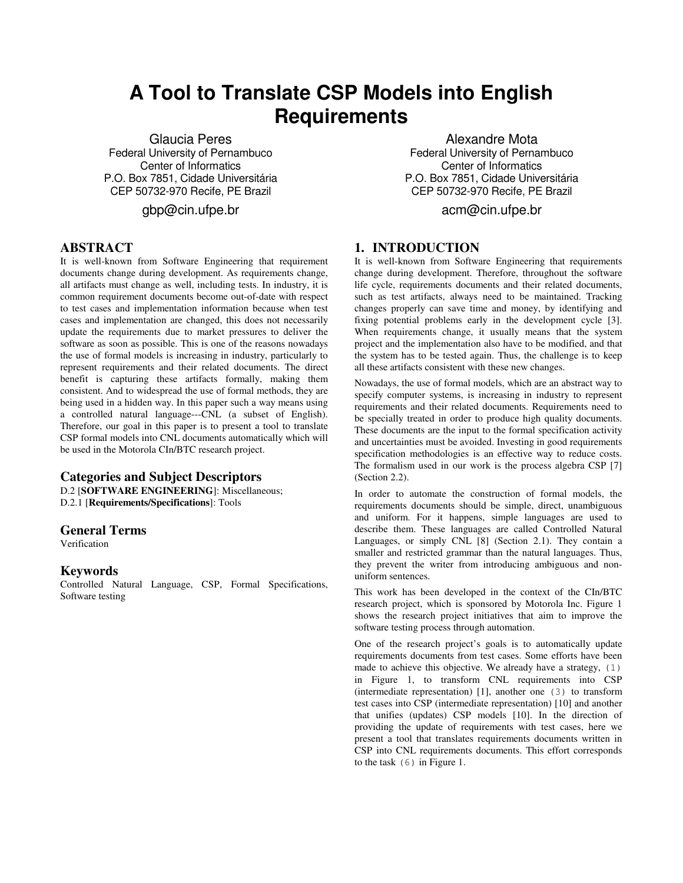# **A Tool to Translate CSP Models into English Requirements**

Glaucia Peres Federal University of Pernambuco Center of Informatics P.O. Box 7851, Cidade Universitária CEP 50732-970 Recife, PE Brazil

gbp@cin.ufpe.br

# **ABSTRACT**

It is well-known from Software Engineering that requirement documents change during development. As requirements change, all artifacts must change as well, including tests. In industry, it is common requirement documents become out-of-date with respect to test cases and implementation information because when test cases and implementation are changed, this does not necessarily update the requirements due to market pressures to deliver the software as soon as possible. This is one of the reasons nowadays the use of formal models is increasing in industry, particularly to represent requirements and their related documents. The direct benefit is capturing these artifacts formally, making them consistent. And to widespread the use of formal methods, they are being used in a hidden way. In this paper such a way means using a controlled natural language---CNL (a subset of English). Therefore, our goal in this paper is to present a tool to translate CSP formal models into CNL documents automatically which will be used in the Motorola CIn/BTC research project.

## **Categories and Subject Descriptors**

D.2 [**SOFTWARE ENGINEERING**]: Miscellaneous; D.2.1 [**Requirements/Specifications**]: Tools

## **General Terms**

Verification

## **Keywords**

Controlled Natural Language, CSP, Formal Specifications, Software testing

Alexandre Mota Federal University of Pernambuco Center of Informatics P.O. Box 7851, Cidade Universitária CEP 50732-970 Recife, PE Brazil

acm@cin.ufpe.br

# **1. INTRODUCTION**

It is well-known from Software Engineering that requirements change during development. Therefore, throughout the software life cycle, requirements documents and their related documents, such as test artifacts, always need to be maintained. Tracking changes properly can save time and money, by identifying and fixing potential problems early in the development cycle [3]. When requirements change, it usually means that the system project and the implementation also have to be modified, and that the system has to be tested again. Thus, the challenge is to keep all these artifacts consistent with these new changes.

Nowadays, the use of formal models, which are an abstract way to specify computer systems, is increasing in industry to represent requirements and their related documents. Requirements need to be specially treated in order to produce high quality documents. These documents are the input to the formal specification activity and uncertainties must be avoided. Investing in good requirements specification methodologies is an effective way to reduce costs. The formalism used in our work is the process algebra CSP [7] (Section 2.2).

In order to automate the construction of formal models, the requirements documents should be simple, direct, unambiguous and uniform. For it happens, simple languages are used to describe them. These languages are called Controlled Natural Languages, or simply CNL [8] (Section 2.1). They contain a smaller and restricted grammar than the natural languages. Thus, they prevent the writer from introducing ambiguous and nonuniform sentences.

This work has been developed in the context of the CIn/BTC research project, which is sponsored by Motorola Inc. Figure 1 shows the research project initiatives that aim to improve the software testing process through automation.

One of the research project's goals is to automatically update requirements documents from test cases. Some efforts have been made to achieve this objective. We already have a strategy, (1) in Figure 1, to transform CNL requirements into CSP (intermediate representation) [1], another one (3) to transform test cases into CSP (intermediate representation) [10] and another that unifies (updates) CSP models [10]. In the direction of providing the update of requirements with test cases, here we present a tool that translates requirements documents written in CSP into CNL requirements documents. This effort corresponds to the task (6) in Figure 1.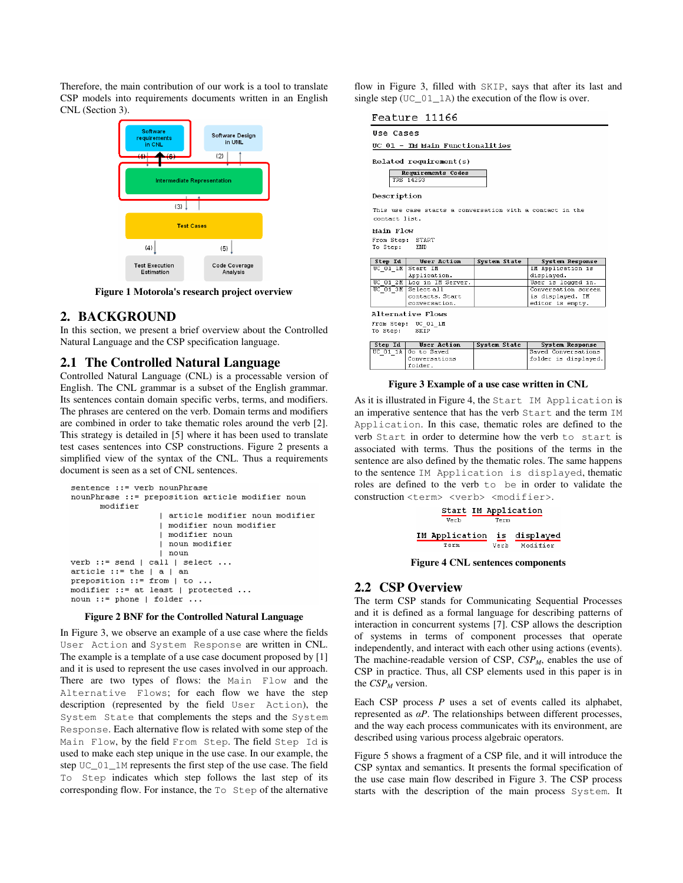Therefore, the main contribution of our work is a tool to translate CSP models into requirements documents written in an English CNL (Section 3).



**Figure 1 Motorola's research project overview** 

## **2. BACKGROUND**

In this section, we present a brief overview about the Controlled Natural Language and the CSP specification language.

## **2.1 The Controlled Natural Language**

Controlled Natural Language (CNL) is a processable version of English. The CNL grammar is a subset of the English grammar. Its sentences contain domain specific verbs, terms, and modifiers. The phrases are centered on the verb. Domain terms and modifiers are combined in order to take thematic roles around the verb [2]. This strategy is detailed in [5] where it has been used to translate test cases sentences into CSP constructions. Figure 2 presents a simplified view of the syntax of the CNL. Thus a requirements document is seen as a set of CNL sentences.

```
sentence ::= verb nounPhrase
nounPhrase ::= preposition article modifier noun
      modifier
                     article modifier noun modifier
                     modifier noun modifier
                     modifier noun
                     noun modifier
                     noun
verb ::= send | call | select ...\texttt{article} :: \texttt{the} \mid a \mid anpreposition ::= from | to ...
modifier ::= at least | protected ...
noun ::= phone | folder ...
```
#### **Figure 2 BNF for the Controlled Natural Language**

In Figure 3, we observe an example of a use case where the fields User Action and System Response are written in CNL. The example is a template of a use case document proposed by [1] and it is used to represent the use cases involved in our approach. There are two types of flows: the Main Flow and the Alternative Flows; for each flow we have the step description (represented by the field User Action), the System State that complements the steps and the System Response. Each alternative flow is related with some step of the Main Flow, by the field From Step. The field Step Id is used to make each step unique in the use case. In our example, the step UC\_01\_1M represents the first step of the use case. The field To Step indicates which step follows the last step of its corresponding flow. For instance, the To Step of the alternative

flow in Figure 3, filled with  $SKIP$ , says that after its last and single ten  $(TG, 0.1, 1.3)$  the approximately flow in such single step  $(TIC_0, 0.1)$ 

| igie step $(\cup \cup_{i=1}^{\infty} A)$ the execution of the flow is over. |                            |              |                                 |  |  |  |  |  |  |
|-----------------------------------------------------------------------------|----------------------------|--------------|---------------------------------|--|--|--|--|--|--|
| Feature 11166                                                               |                            |              |                                 |  |  |  |  |  |  |
| Use Cases                                                                   |                            |              |                                 |  |  |  |  |  |  |
| UC 01 - IM Main Functionalities                                             |                            |              |                                 |  |  |  |  |  |  |
| Related requirement(s)                                                      |                            |              |                                 |  |  |  |  |  |  |
| Requirements Codes<br>TRS 14293                                             |                            |              |                                 |  |  |  |  |  |  |
| Description                                                                 |                            |              |                                 |  |  |  |  |  |  |
| This use case starts a conversation with a contact in the<br>contact list.  |                            |              |                                 |  |  |  |  |  |  |
| Main Flow                                                                   |                            |              |                                 |  |  |  |  |  |  |
| From Step: START<br>To Step:<br>END                                         |                            |              |                                 |  |  |  |  |  |  |
| Step Id                                                                     | <b>User Action</b>         | System State | System Response                 |  |  |  |  |  |  |
| UC $01$ $1$ M                                                               | Start IN<br>Application.   |              | IM Application is<br>displayed. |  |  |  |  |  |  |
|                                                                             | UC 01 2M Log in IM Server. |              | User is logged in.              |  |  |  |  |  |  |
| $UC$ 01 3M                                                                  | Select all                 |              | Conversation screen             |  |  |  |  |  |  |
|                                                                             | contacts. Start            |              | is displayed. IM                |  |  |  |  |  |  |
|                                                                             | conversation.              |              | editor is empty.                |  |  |  |  |  |  |
| Alternative Flows                                                           |                            |              |                                 |  |  |  |  |  |  |
| From Step: UC 01 1M<br>SKIP<br>To Step:                                     |                            |              |                                 |  |  |  |  |  |  |
| Step Id                                                                     | User Action                | System State | System Response                 |  |  |  |  |  |  |
| UC 01 $1\text{Å}$                                                           | Go to Saved                |              | Saved Conversations             |  |  |  |  |  |  |
|                                                                             | Contexestions              |              | folder is dievlassed.           |  |  |  |  |  |  |

#### **Figure 3 Example of a use case written in CNL**

As it is illustrated in Figure 4, the Start IM Application is an imperative sentence that has the verb Start and the term IM Application. In this case, thematic roles are defined to the verb Start in order to determine how the verb to start is associated with terms. Thus the positions of the terms in the sentence are also defined by the thematic roles. The same happens to the sentence IM Application is displayed, thematic roles are defined to the verb to be in order to validate the construction <term> <verb> <modifier>.



**Figure 4 CNL sentences components** 

## **2.2 CSP Overview**

 $|$  folder.

The term CSP stands for Communicating Sequential Processes and it is defined as a formal language for describing patterns of interaction in concurrent systems [7]. CSP allows the description of systems in terms of component processes that operate independently, and interact with each other using actions (events). The machine-readable version of CSP, *CSPM*, enables the use of CSP in practice. Thus, all CSP elements used in this paper is in the *CSPM* version.

Each CSP process *P* uses a set of events called its alphabet, represented as  $\alpha P$ . The relationships between different processes, and the way each process communicates with its environment, are described using various process algebraic operators.

Figure 5 shows a fragment of a CSP file, and it will introduce the CSP syntax and semantics. It presents the formal specification of the use case main flow described in Figure 3. The CSP process starts with the description of the main process System. It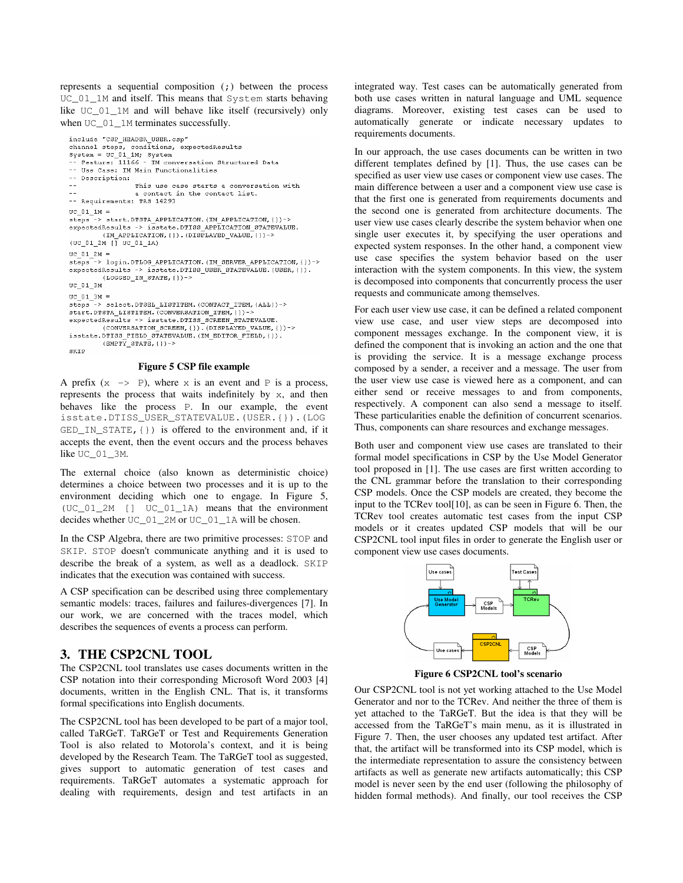represents a sequential composition (;) between the process UC\_01\_1M and itself. This means that System starts behaving like UC\_01\_1M and will behave like itself (recursively) only when UC\_01\_1M terminates successfully.

```
include "CSP HEADER USER.csp"
-- Use Case: IM Main Functionalities
-- Description:
\sim \simThis use case starts a conversation with
                 a contact in the contact list.
-- Requirements: TRS 14293
UC 01 1M =steps -> start. DTSTA APPLICATION. (IM APPLICATION, {}) ->
expectedResults -> isstate.DTISS_APPLICATION_STATEVALUE.
        (IM_APPLICATION, { ) ) . (DISPLAYED_VALUE, { } ) ->
(UC_01_2M_{1}] UC_01_1A)UC_01_2M =--> login.DTLOG_APPLICATION.(IM_SERVER_APPLICATION,{})->
stepsexpectedResults -> isstate.DTISS_USER_STATEVALUE.(USER, {}).
        (LOGGED_IN_STATE, {}\) ->
UC_01_3M\text{UC\_01\_3M} =
steps -> select. DTSEL LISTITEM. (CONTACT ITEM. {ALL}) ->
start. DTSTA LISTITEM. (CONVERSATION ITEM, {})-
expectedResults -> isstate.DTISS_SCREEN_STATEVALUE.<br>(CONVERSATION_SCREEN, {}).(DISPLAYED_VALUE, {})->
isstate.DTISS_FIELD_STATEVALUE.(IM_EDITOR_FIELD,()).
        (\text{EMENT} STATE, ()) ->
SKIP
```
#### **Figure 5 CSP file example**

A prefix  $(x \rightarrow P)$ , where x is an event and P is a process, represents the process that waits indefinitely by x, and then behaves like the process P. In our example, the event isstate.DTISS\_USER\_STATEVALUE.(USER.{}).(LOG GED\_IN\_STATE,{}) is offered to the environment and, if it accepts the event, then the event occurs and the process behaves like UC\_01\_3M.

The external choice (also known as deterministic choice) determines a choice between two processes and it is up to the environment deciding which one to engage. In Figure 5, (UC\_01\_2M [] UC\_01\_1A) means that the environment decides whether UC\_01\_2M or UC\_01\_1A will be chosen.

In the CSP Algebra, there are two primitive processes: STOP and SKIP. STOP doesn't communicate anything and it is used to describe the break of a system, as well as a deadlock. SKIP indicates that the execution was contained with success.

A CSP specification can be described using three complementary semantic models: traces, failures and failures-divergences [7]. In our work, we are concerned with the traces model, which describes the sequences of events a process can perform.

## **3. THE CSP2CNL TOOL**

The CSP2CNL tool translates use cases documents written in the CSP notation into their corresponding Microsoft Word 2003 [4] documents, written in the English CNL. That is, it transforms formal specifications into English documents.

The CSP2CNL tool has been developed to be part of a major tool, called TaRGeT. TaRGeT or Test and Requirements Generation Tool is also related to Motorola's context, and it is being developed by the Research Team. The TaRGeT tool as suggested, gives support to automatic generation of test cases and requirements. TaRGeT automates a systematic approach for dealing with requirements, design and test artifacts in an

integrated way. Test cases can be automatically generated from both use cases written in natural language and UML sequence diagrams. Moreover, existing test cases can be used to automatically generate or indicate necessary updates to requirements documents.

In our approach, the use cases documents can be written in two different templates defined by [1]. Thus, the use cases can be specified as user view use cases or component view use cases. The main difference between a user and a component view use case is that the first one is generated from requirements documents and the second one is generated from architecture documents. The user view use cases clearly describe the system behavior when one single user executes it, by specifying the user operations and expected system responses. In the other hand, a component view use case specifies the system behavior based on the user interaction with the system components. In this view, the system is decomposed into components that concurrently process the user requests and communicate among themselves.

For each user view use case, it can be defined a related component view use case, and user view steps are decomposed into component messages exchange. In the component view, it is defined the component that is invoking an action and the one that is providing the service. It is a message exchange process composed by a sender, a receiver and a message. The user from the user view use case is viewed here as a component, and can either send or receive messages to and from components, respectively. A component can also send a message to itself. These particularities enable the definition of concurrent scenarios. Thus, components can share resources and exchange messages.

Both user and component view use cases are translated to their formal model specifications in CSP by the Use Model Generator tool proposed in [1]. The use cases are first written according to the CNL grammar before the translation to their corresponding CSP models. Once the CSP models are created, they become the input to the TCRev tool[10], as can be seen in Figure 6. Then, the TCRev tool creates automatic test cases from the input CSP models or it creates updated CSP models that will be our CSP2CNL tool input files in order to generate the English user or component view use cases documents.



**Figure 6 CSP2CNL tool's scenario** 

Our CSP2CNL tool is not yet working attached to the Use Model Generator and nor to the TCRev. And neither the three of them is yet attached to the TaRGeT. But the idea is that they will be accessed from the TaRGeT's main menu, as it is illustrated in Figure 7. Then, the user chooses any updated test artifact. After that, the artifact will be transformed into its CSP model, which is the intermediate representation to assure the consistency between artifacts as well as generate new artifacts automatically; this CSP model is never seen by the end user (following the philosophy of hidden formal methods). And finally, our tool receives the CSP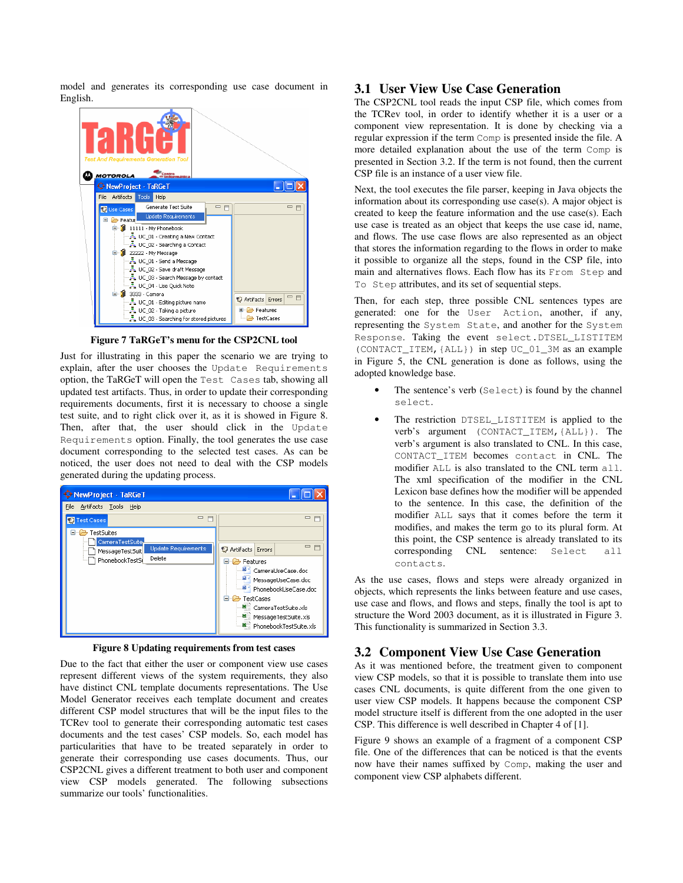model and generates its corresponding use case document in English.



**Figure 7 TaRGeT's menu for the CSP2CNL tool** 

Just for illustrating in this paper the scenario we are trying to explain, after the user chooses the Update Requirements option, the TaRGeT will open the Test Cases tab, showing all updated test artifacts. Thus, in order to update their corresponding requirements documents, first it is necessary to choose a single test suite, and to right click over it, as it is showed in Figure 8. Then, after that, the user should click in the Update Requirements option. Finally, the tool generates the use case document corresponding to the selected test cases. As can be noticed, the user does not need to deal with the CSP models generated during the updating process.



**Figure 8 Updating requirements from test cases** 

Due to the fact that either the user or component view use cases represent different views of the system requirements, they also have distinct CNL template documents representations. The Use Model Generator receives each template document and creates different CSP model structures that will be the input files to the TCRev tool to generate their corresponding automatic test cases documents and the test cases' CSP models. So, each model has particularities that have to be treated separately in order to generate their corresponding use cases documents. Thus, our CSP2CNL gives a different treatment to both user and component view CSP models generated. The following subsections summarize our tools' functionalities.

## **3.1 User View Use Case Generation**

The CSP2CNL tool reads the input CSP file, which comes from the TCRev tool, in order to identify whether it is a user or a component view representation. It is done by checking via a regular expression if the term Comp is presented inside the file. A more detailed explanation about the use of the term Comp is presented in Section 3.2. If the term is not found, then the current CSP file is an instance of a user view file.

Next, the tool executes the file parser, keeping in Java objects the information about its corresponding use case(s). A major object is created to keep the feature information and the use case(s). Each use case is treated as an object that keeps the use case id, name, and flows. The use case flows are also represented as an object that stores the information regarding to the flows in order to make it possible to organize all the steps, found in the CSP file, into main and alternatives flows. Each flow has its From Step and To Step attributes, and its set of sequential steps.

Then, for each step, three possible CNL sentences types are generated: one for the User Action, another, if any, representing the System State, and another for the System Response. Taking the event select.DTSEL\_LISTITEM (CONTACT\_ITEM,{ALL}) in step UC\_01\_3M as an example in Figure 5, the CNL generation is done as follows, using the adopted knowledge base.

- The sentence's verb (Select) is found by the channel select.
- The restriction DTSEL\_LISTITEM is applied to the verb's argument (CONTACT\_ITEM,{ALL}). The verb's argument is also translated to CNL. In this case, CONTACT\_ITEM becomes contact in CNL. The modifier ALL is also translated to the CNL term all. The xml specification of the modifier in the CNL Lexicon base defines how the modifier will be appended to the sentence. In this case, the definition of the modifier ALL says that it comes before the term it modifies, and makes the term go to its plural form. At this point, the CSP sentence is already translated to its corresponding CNL sentence: Select all contacts.

As the use cases, flows and steps were already organized in objects, which represents the links between feature and use cases, use case and flows, and flows and steps, finally the tool is apt to structure the Word 2003 document, as it is illustrated in Figure 3. This functionality is summarized in Section 3.3.

## **3.2 Component View Use Case Generation**

As it was mentioned before, the treatment given to component view CSP models, so that it is possible to translate them into use cases CNL documents, is quite different from the one given to user view CSP models. It happens because the component CSP model structure itself is different from the one adopted in the user CSP. This difference is well described in Chapter 4 of [1].

Figure 9 shows an example of a fragment of a component CSP file. One of the differences that can be noticed is that the events now have their names suffixed by Comp, making the user and component view CSP alphabets different.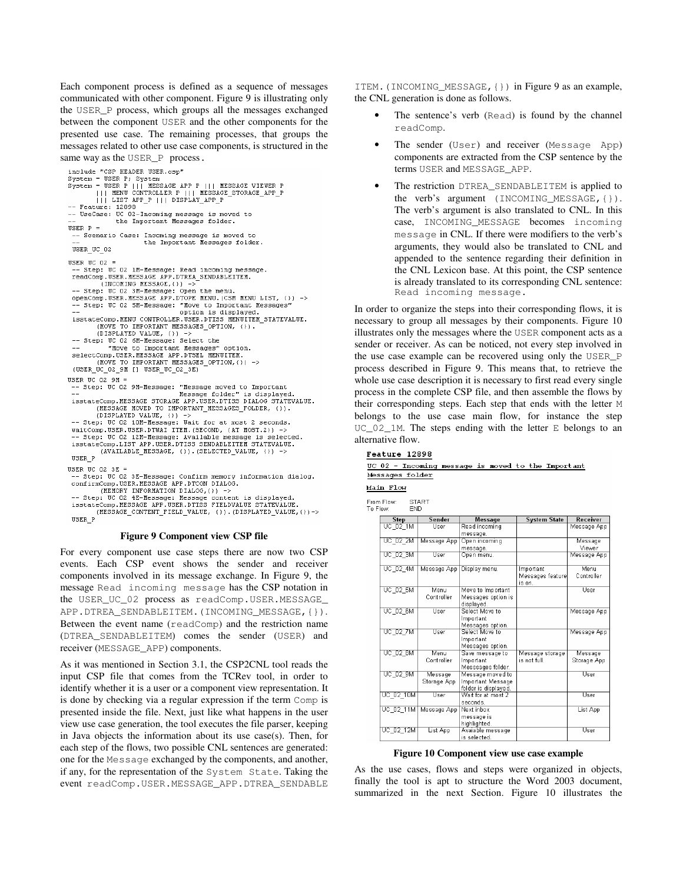Each component process is defined as a sequence of messages communicated with other component. Figure 9 is illustrating only the USER\_P process, which groups all the messages exchanged between the component USER and the other components for the presented use case. The remaining processes, that groups the messages related to other use case components, is structured in the same way as the USER\_P process.

```
include "CSP HEADER USER.csp'
nture - Car manufacturer<br>System = USER P; System<br>System = USER P ||| MESSAGE APP P ||| MESSAGE VIEWER P<br>|| MENU CONTROLLER P ||| MESSAGE_STORAGE_APP_P<br>|| MENU CONTROLLER P ||| MESSAGE_STORAGE_APP_P
             | | | LIST APP_P | | | DISPLAY_APP_P
-- Feature: 12898
-- Produce: 12050<br>-- UseCase: UC 02-Incoming message is moved to<br>-- the Important Messages folder.
USER P =-- Scenario Case: Incoming message is moved to
                                 the Important Messages folder.
 USER_UC_02
USER UC 02 =.<br>Step: UC 02 1M-Message: Read incoming message.
 -- Step: UC UZ IM-MESSAGE : REGI INCOMING MESSAGE<br>
readComp.USER.MESSAGE APP.DTREA SENDABLEITEM.<br>
-- Step: UC O2 3M-MESSAGE,() -><br>
-- Step: UC O2 3M-MESSAGE : Open the menu.<br>
openComp.USER.MESSAGE APP.DTOPE MENU.(CSM MENU 
 -- Step: UC 02 5M-Message: "Move to Important Messages"<br>-- Step: UC 02 5M-Message: "Move to Important Messages"<br>-- option is displayed.<br>isstateComp.MENU CONTROLLER.USER.DTISS MENUITEM_STATEVALUE.
             (MOVE TO IMPORTANT MESSAGES OPTION, ()).<br>(DISPLAYED VALUE, ()) ->
      Step: UC 02 6M-Message: Select the
                  "Move to Important Messages" option.
 selectComp.USER.MESSAGE APP.DTSEL MENUITEM.<br>(MOVE TO IMPORTANT MESSAGES_OPTION,()) ->
  (AREV_GC_OS_aW [] AREV_GC_OS_3E)
USER UC 02 9M =
  -- Step: UC 02 9M-Message: "Message moved to Important
 (MESSAGE MOVED TO IMPORTANT MESSAGES FOLDER, ()).<br>(DISPLAYED VALUE, ()) -><br>-- Step: UC 02 10M-Message: Wait for at most 2 seconds.
 -- Step: UC 02 12M-Message: wailable message is selected.<br>-- Step: UC 02 12M-Message: Available message is selected.<br>isstateComp.LIST APP.USER.DTISS SENDABLEITEM STATEVALUE.
              (AVAILABLE MESSAGE, ()). (SELECTED VALUE, ())
 \begin{array}{c} \n \texttt{USER\_P} \n \end{array}USER UC 02 3E =
 -- Step: UC 02 3E-Message: Confirm memory information dialog.<br>confirmComp.USER.MESSAGE APP.DTCON DIALOG.
 (MEMORY INFORMATION DIALOG, ()) -><br>-- Step: UC 02 4E-Message: Message content is displayed.<br>isstateComp.MESSAGE APP.USER.DTISS FIELDVALUE STATEVALUE.
```
#### **Figure 9 Component view CSP file**

For every component use case steps there are now two CSP events. Each CSP event shows the sender and receiver components involved in its message exchange. In Figure 9, the message Read incoming message has the CSP notation in the USER\_UC\_02 process as readComp.USER.MESSAGE\_ APP.DTREA\_SENDABLEITEM.(INCOMING\_MESSAGE,{}). Between the event name (readComp) and the restriction name (DTREA\_SENDABLEITEM) comes the sender (USER) and receiver (MESSAGE\_APP) components.

As it was mentioned in Section 3.1, the CSP2CNL tool reads the input CSP file that comes from the TCRev tool, in order to identify whether it is a user or a component view representation. It is done by checking via a regular expression if the term Comp is presented inside the file. Next, just like what happens in the user view use case generation, the tool executes the file parser, keeping in Java objects the information about its use case(s). Then, for each step of the flows, two possible CNL sentences are generated: one for the Message exchanged by the components, and another, if any, for the representation of the System State. Taking the event readComp.USER.MESSAGE\_APP.DTREA\_SENDABLE

ITEM.(INCOMING\_MESSAGE,{}) in Figure 9 as an example, the CNL generation is done as follows.

- The sentence's verb (Read) is found by the channel readComp.
- The sender (User) and receiver (Message App) components are extracted from the CSP sentence by the terms USER and MESSAGE\_APP.
- The restriction DTREA\_SENDABLEITEM is applied to the verb's argument (INCOMING\_MESSAGE,{}). The verb's argument is also translated to CNL. In this case, INCOMING\_MESSAGE becomes incoming message in CNL. If there were modifiers to the verb's arguments, they would also be translated to CNL and appended to the sentence regarding their definition in the CNL Lexicon base. At this point, the CSP sentence is already translated to its corresponding CNL sentence: Read incoming message.

In order to organize the steps into their corresponding flows, it is necessary to group all messages by their components. Figure 10 illustrates only the messages where the USER component acts as a sender or receiver. As can be noticed, not every step involved in the use case example can be recovered using only the USER\_P process described in Figure 9. This means that, to retrieve the whole use case description it is necessary to first read every single process in the complete CSP file, and then assemble the flows by their corresponding steps. Each step that ends with the letter M belongs to the use case main flow, for instance the step UC\_02\_1M. The steps ending with the letter E belongs to an alternative flow.

#### Feature 12898

|                 |  |  | UC 02 - Incoming message is moved to the Important |
|-----------------|--|--|----------------------------------------------------|
| Messages folder |  |  |                                                    |

Main Flow

From Flow START<br>END To Flow

| <b>Step</b>     | Sender      | <b>Message</b>       | <b>System State</b> | Receiver    |
|-----------------|-------------|----------------------|---------------------|-------------|
| UC_02_1M        | User        | Read incoming        |                     | Message App |
|                 |             | message.             |                     |             |
| UC 02 2M        | Message App | Open incoming        |                     | Message     |
|                 |             | message.             |                     | Viewer      |
| UC_02_3M        | User        | Open menu.           |                     | Message App |
|                 |             |                      |                     |             |
| UC 02 4M        | Message App | Display menu.        | Important           | Menu        |
|                 |             |                      | Messages feature    | Controller  |
|                 |             |                      | is on.              |             |
| UC 02 5M        | Menu        | Move to Important    |                     | User        |
|                 | Controller  | Messages option is   |                     |             |
|                 |             | displayed.           |                     |             |
| UC 02 6M        | User        | Select Move to       |                     | Message App |
|                 |             | Important            |                     |             |
|                 |             | Messages option.     |                     |             |
| UC 02 7M        | User        | Select Move to       |                     | Message App |
|                 |             | Important            |                     |             |
|                 |             | Messages option.     |                     |             |
| <b>UC 02 8M</b> | Menu        | Save message to      | Message storage     | Message     |
|                 | Controller  | Important            | is not full.        | Storage App |
|                 |             | Messsages folder.    |                     |             |
| UC 02 9M        | Message     | Message moved to     |                     | User        |
|                 | Storage App | Important Message    |                     |             |
|                 |             | folder is displayed. |                     |             |
| UC 02 10M       | User        | Wait for at most 2   |                     | User        |
|                 |             | seconds.             |                     |             |
| UC_02_11M       | Message App | Next inbox           |                     | List App    |
|                 |             | message is           |                     |             |
|                 |             | highlighted.         |                     |             |
| UC 02 12M       | List App    | Avaiable message     |                     | User        |
|                 |             | is selected.         |                     |             |

#### **Figure 10 Component view use case example**

As the use cases, flows and steps were organized in objects, finally the tool is apt to structure the Word 2003 document, summarized in the next Section. Figure 10 illustrates the